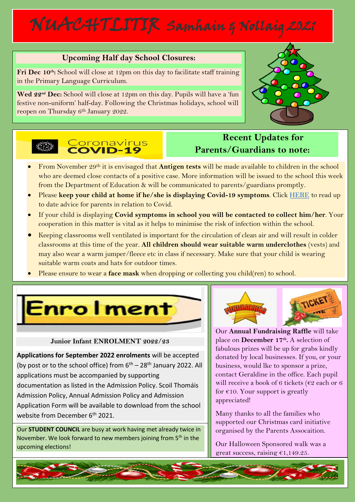# NUACHTLITIR Samhain & Nollaig 2021

## **Upcoming Half day School Closures:**

**Fri Dec 10th:** School will close at 12pm on this day to facilitate staff training in the Primary Language Curriculum.

**Wed 22nd Dec:** School will close at 12pm on this day. Pupils will have a 'fun festive non-uniform' half-day. Following the Christmas holidays, school will reopen on Thursday 6<sup>th</sup> January 2022.





## **Recent Updates for Parents/Guardians to note:**

- From November 29th it is envisaged that **Antigen tests** will be made available to children in the school who are deemed close contacts of a positive case. More information will be issued to the school this week from the Department of Education & will be communicated to parents/guardians promptly.
- Please **keep your child at home if he/she is displaying Covid-19 symptoms**. Click [HERE](https://www.gov.ie/en/publication/a04fc-advice-for-students-and-their-families/) to read up to date advice for parents in relation to Covid.
- If your child is displaying **Covid symptoms in school you will be contacted to collect him/her**. Your cooperation in this matter is vital as it helps to minimise the risk of infection within the school.
- Keeping classrooms well ventilated is important for the circulation of clean air and will result in colder classrooms at this time of the year. **All children should wear suitable warm underclothes** (vests) and may also wear a warm jumper/fleece etc in class if necessary. Make sure that your child is wearing suitable warm coats and hats for outdoor times.
- Please ensure to wear a **face mask** when dropping or collecting you child(ren) to school.

**Enrolment** 

### **Junior Infant ENROLMENT 2022/23**

**Applications for September 2022 enrolments** will be accepted (by post or to the school office) from  $6<sup>th</sup> - 28<sup>th</sup>$  January 2022. All applications must be accompanied by supporting documentation as listed in the Admission Policy. Scoil Thomáis Admission Policy, Annual Admission Policy and Admission Application Form will be available to download from the school website from December 6<sup>th</sup> 2021.

Our **STUDENT COUNCIL** are busy at work having met already twice in November. We look forward to new members joining from  $5<sup>th</sup>$  in the upcoming elections!



Our **Annual Fundraising Raffle** will take place on **December 17th .** A selection of fabulous prizes will be up for grabs kindly donated by local businesses. If you, or your business, would lke to sponsor a prize, contact Geraldine in the office. Each pupil will receive a book of 6 tickets ( $\epsilon$ 2 each or 6 for  $\epsilon$ 10. Your support is greatly appreciated!

Many thanks to all the families who supported our Christmas card initiative organised by the Parents Assocaition.

Our Halloween Sponsored walk was a great success, raising €1,149.25.